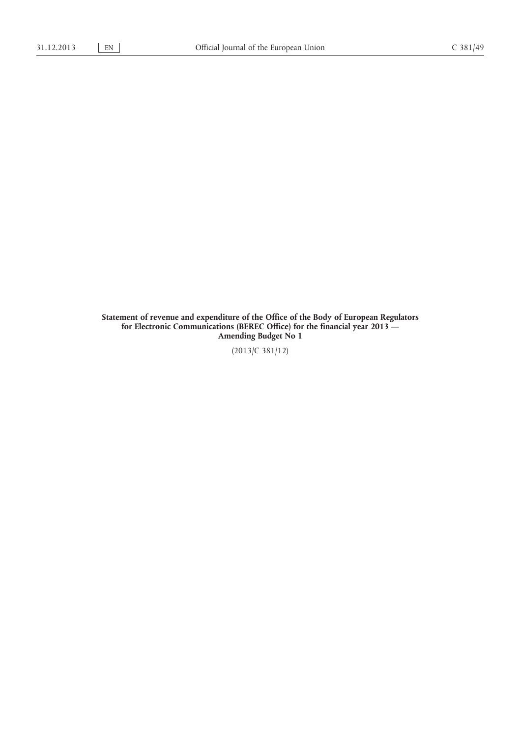**Statement of revenue and expenditure of the Office of the Body of European Regulators for Electronic Communications (BEREC Office) for the financial year 2013 — Amending Budget No 1**

(2013/C 381/12)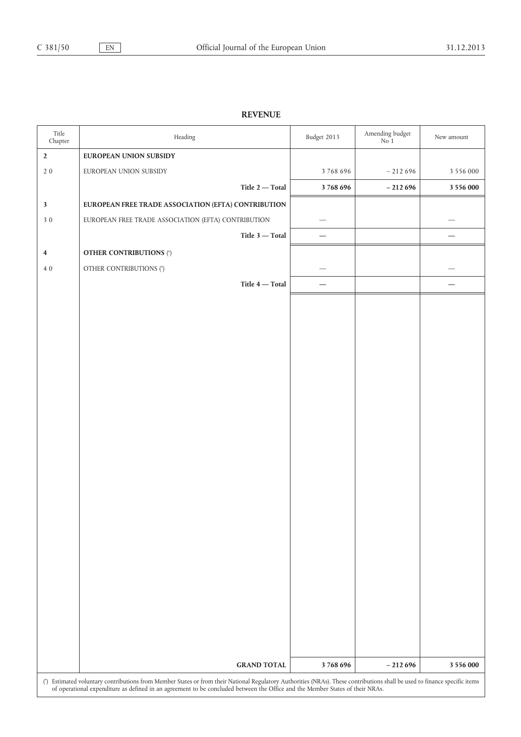## **REVENUE**

| Title<br>Chapter        | Heading                                                                                                                                                                                                                                                                                                     | Budget 2013 | Amending budget<br>$\rm No~1$ | New amount    |  |
|-------------------------|-------------------------------------------------------------------------------------------------------------------------------------------------------------------------------------------------------------------------------------------------------------------------------------------------------------|-------------|-------------------------------|---------------|--|
| $\mathbf{2}$            | EUROPEAN UNION SUBSIDY                                                                                                                                                                                                                                                                                      |             |                               |               |  |
| $2\ 0$                  | EUROPEAN UNION SUBSIDY                                                                                                                                                                                                                                                                                      | 3768696     | $-212696$                     | 3 5 5 6 0 0 0 |  |
|                         | Title $2$ — Total                                                                                                                                                                                                                                                                                           | 3768696     | $-212696$                     | 3 5 5 6 0 0 0 |  |
| $\mathbf{3}$            | EUROPEAN FREE TRADE ASSOCIATION (EFTA) CONTRIBUTION                                                                                                                                                                                                                                                         |             |                               |               |  |
| $3\,0$                  | EUROPEAN FREE TRADE ASSOCIATION (EFTA) CONTRIBUTION                                                                                                                                                                                                                                                         |             |                               |               |  |
|                         | Title $3$ — Total                                                                                                                                                                                                                                                                                           |             |                               |               |  |
| $\overline{\mathbf{4}}$ | <b>OTHER CONTRIBUTIONS (*)</b>                                                                                                                                                                                                                                                                              |             |                               |               |  |
| $4\;0$                  | OTHER CONTRIBUTIONS (*)                                                                                                                                                                                                                                                                                     |             |                               |               |  |
|                         | Title $4$ - Total                                                                                                                                                                                                                                                                                           |             |                               |               |  |
|                         |                                                                                                                                                                                                                                                                                                             |             |                               |               |  |
|                         |                                                                                                                                                                                                                                                                                                             |             |                               |               |  |
|                         |                                                                                                                                                                                                                                                                                                             |             |                               |               |  |
|                         |                                                                                                                                                                                                                                                                                                             |             |                               |               |  |
|                         |                                                                                                                                                                                                                                                                                                             |             |                               |               |  |
|                         |                                                                                                                                                                                                                                                                                                             |             |                               |               |  |
|                         |                                                                                                                                                                                                                                                                                                             |             |                               |               |  |
|                         |                                                                                                                                                                                                                                                                                                             |             |                               |               |  |
|                         |                                                                                                                                                                                                                                                                                                             |             |                               |               |  |
|                         |                                                                                                                                                                                                                                                                                                             |             |                               |               |  |
|                         |                                                                                                                                                                                                                                                                                                             |             |                               |               |  |
|                         |                                                                                                                                                                                                                                                                                                             |             |                               |               |  |
|                         |                                                                                                                                                                                                                                                                                                             |             |                               |               |  |
|                         |                                                                                                                                                                                                                                                                                                             |             |                               |               |  |
|                         |                                                                                                                                                                                                                                                                                                             |             |                               |               |  |
|                         |                                                                                                                                                                                                                                                                                                             |             |                               |               |  |
|                         |                                                                                                                                                                                                                                                                                                             |             |                               |               |  |
|                         |                                                                                                                                                                                                                                                                                                             |             |                               |               |  |
|                         |                                                                                                                                                                                                                                                                                                             |             |                               |               |  |
|                         |                                                                                                                                                                                                                                                                                                             |             |                               |               |  |
|                         |                                                                                                                                                                                                                                                                                                             |             |                               |               |  |
|                         |                                                                                                                                                                                                                                                                                                             |             |                               |               |  |
|                         |                                                                                                                                                                                                                                                                                                             |             |                               |               |  |
|                         | <b>GRAND TOTAL</b>                                                                                                                                                                                                                                                                                          | 3768696     | $-212696$                     | 3 556 000     |  |
|                         | (*) Estimated voluntary contributions from Member States or from their National Regulatory Authorities (NRAs). These contributions shall be used to finance specific items<br>of operational expenditure as defined in an agreement to be concluded between the Office and the Member States of their NRAs. |             |                               |               |  |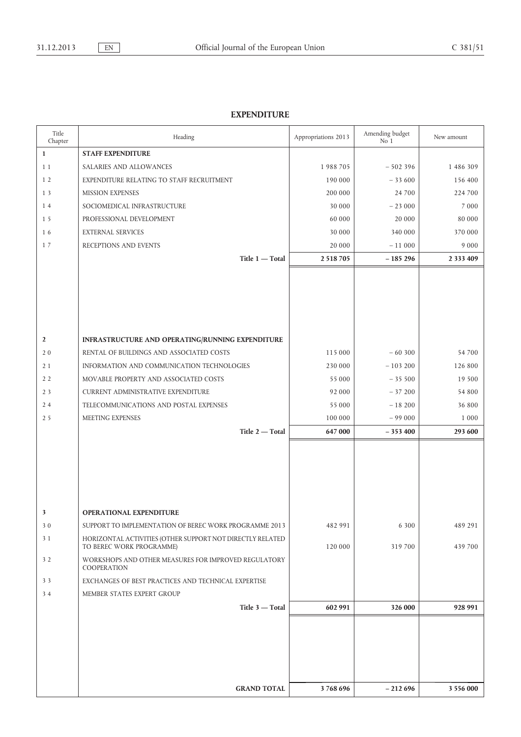## **EXPENDITURE**

| Title<br>Chapter | Heading                                                             | Appropriations 2013 | Amending budget<br>No 1 | New amount    |
|------------------|---------------------------------------------------------------------|---------------------|-------------------------|---------------|
| $\mathbf{1}$     | <b>STAFF EXPENDITURE</b>                                            |                     |                         |               |
| 1 1              | SALARIES AND ALLOWANCES                                             | 1988705             | $-502396$               | 1 486 309     |
| 1 <sub>2</sub>   | EXPENDITURE RELATING TO STAFF RECRUITMENT                           | 190 000             | $-33600$                | 156 400       |
| 1 3              | <b>MISSION EXPENSES</b>                                             | 200 000             | 24 700                  | 224 700       |
| 14               | SOCIOMEDICAL INFRASTRUCTURE                                         | 30 000              | $-23000$                | 7 0 0 0       |
| 1 5              | PROFESSIONAL DEVELOPMENT                                            | 60 000              | 20 000                  | 80 000        |
| 16               | <b>EXTERNAL SERVICES</b>                                            | 30 000              | 340 000                 | 370 000       |
| 17               | RECEPTIONS AND EVENTS                                               | 20 000              | $-11000$                | 9 0 0 0       |
|                  | Title 1 - Total                                                     | 2 5 18 7 05         | $-185296$               | 2 3 3 4 4 0 9 |
|                  |                                                                     |                     |                         |               |
|                  |                                                                     |                     |                         |               |
|                  |                                                                     |                     |                         |               |
|                  |                                                                     |                     |                         |               |
|                  |                                                                     |                     |                         |               |
| $\overline{2}$   | INFRASTRUCTURE AND OPERATING/RUNNING EXPENDITURE                    |                     |                         |               |
| 20               | RENTAL OF BUILDINGS AND ASSOCIATED COSTS                            | 115 000             | $-60300$                | 54 700        |
| 2 1              | INFORMATION AND COMMUNICATION TECHNOLOGIES                          | 230 000             | $-103200$               | 126 800       |
| 2 <sub>2</sub>   | MOVABLE PROPERTY AND ASSOCIATED COSTS                               | 55 000              | $-35500$                | 19 500        |
| 2 <sub>3</sub>   | <b>CURRENT ADMINISTRATIVE EXPENDITURE</b>                           | 92 000              | $-37200$                | 54 800        |
| 24               | TELECOMMUNICATIONS AND POSTAL EXPENSES                              | 55 000              | $-18200$                | 36 800        |
| 2 5              | MEETING EXPENSES                                                    | 100 000             | $-99000$                | 1 0 0 0       |
|                  | Title 2 - Total                                                     | 647 000             | $-353400$               | 293 600       |
|                  |                                                                     |                     |                         |               |
|                  |                                                                     |                     |                         |               |
|                  |                                                                     |                     |                         |               |
|                  |                                                                     |                     |                         |               |
|                  |                                                                     |                     |                         |               |
| 3                | <b>OPERATIONAL EXPENDITURE</b>                                      |                     |                         |               |
| 30               | SUPPORT TO IMPLEMENTATION OF BEREC WORK PROGRAMME 2013              | 482 991             | 6 300                   | 489 291       |
| 3 1              | HORIZONTAL ACTIVITIES (OTHER SUPPORT NOT DIRECTLY RELATED           |                     |                         |               |
|                  | TO BEREC WORK PROGRAMME)                                            | 120 000             | 319 700                 | 439 700       |
| 3 <sub>2</sub>   | WORKSHOPS AND OTHER MEASURES FOR IMPROVED REGULATORY<br>COOPERATION |                     |                         |               |
| 33               | EXCHANGES OF BEST PRACTICES AND TECHNICAL EXPERTISE                 |                     |                         |               |
| 34               | MEMBER STATES EXPERT GROUP                                          |                     |                         |               |
|                  | Title 3 - Total                                                     | 602 991             | 326 000                 | 928 991       |
|                  |                                                                     |                     |                         |               |
|                  |                                                                     |                     |                         |               |
|                  |                                                                     |                     |                         |               |
|                  |                                                                     |                     |                         |               |
|                  |                                                                     |                     |                         |               |
|                  |                                                                     |                     |                         |               |
|                  | <b>GRAND TOTAL</b>                                                  | 3768696             | $-212696$               | 3 556 000     |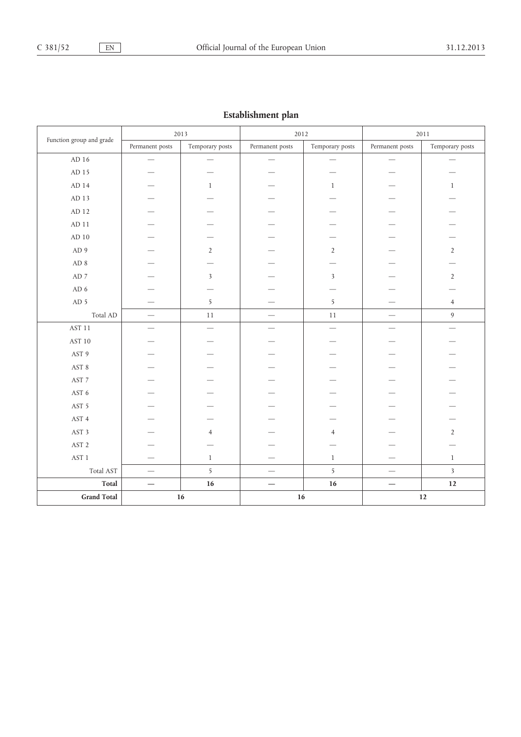| establishment plan       |                          |                          |                          |                          |                               |                  |
|--------------------------|--------------------------|--------------------------|--------------------------|--------------------------|-------------------------------|------------------|
|                          | 2013                     |                          | 2012                     |                          | 2011                          |                  |
| Function group and grade | Permanent posts          | Temporary posts          | Permanent posts          | Temporary posts          | Permanent posts               | Temporary posts  |
| AD 16                    |                          | $\overline{\phantom{0}}$ | $\overline{\phantom{0}}$ | —                        | $\overbrace{\phantom{aaaaa}}$ |                  |
| AD 15                    |                          |                          |                          |                          |                               |                  |
| $AD$ 14                  |                          | $\mathbf{1}$             |                          | $\mathbf{1}$             |                               | $\mathbf{1}$     |
| ${\rm AD}$ 13            |                          |                          |                          |                          |                               |                  |
| $\mbox{AD}$ 12           |                          |                          |                          |                          |                               |                  |
| $\mbox{AD}$ 11           |                          |                          |                          |                          |                               |                  |
| $AD$ 10                  |                          |                          |                          |                          |                               |                  |
| AD 9                     |                          | $\overline{2}$           |                          | $\overline{2}$           |                               | $\overline{2}$   |
| ${\rm AD}$ 8             |                          |                          |                          |                          |                               |                  |
| $\mbox{AD}$ 7            |                          | 3                        |                          | $\overline{\mathbf{3}}$  |                               | $\overline{2}$   |
| AD $6\,$                 |                          |                          |                          |                          |                               |                  |
| AD <sub>5</sub>          |                          | 5                        |                          | 5                        |                               | $\overline{4}$   |
| Total AD                 |                          | $11\,$                   |                          | $11\,$                   |                               | $\boldsymbol{9}$ |
| <b>AST 11</b>            | $\overline{\phantom{0}}$ | $\overline{\phantom{0}}$ | -                        | $\overline{\phantom{0}}$ | $\overline{\phantom{0}}$      |                  |
| AST 10                   |                          |                          |                          |                          |                               |                  |
| AST 9                    |                          |                          |                          |                          |                               |                  |
| $\operatorname{AST}$ 8   |                          |                          |                          |                          |                               |                  |
| AST 7                    |                          |                          |                          |                          |                               |                  |
| AST 6                    |                          |                          |                          |                          |                               |                  |
| AST 5                    |                          |                          |                          |                          |                               |                  |
| AST 4                    |                          |                          |                          |                          |                               |                  |
| AST 3                    |                          | $\overline{4}$           |                          | $\overline{4}$           |                               | $\overline{2}$   |
| AST <sub>2</sub>         |                          |                          |                          |                          |                               |                  |
| AST <sub>1</sub>         |                          | $\mathbf{1}$             |                          | $\mathbf{1}$             |                               | $\mathbf{1}$     |
| Total AST                | $\overline{\phantom{0}}$ | 5                        |                          | $\overline{5}$           |                               | $\overline{3}$   |
| <b>Total</b>             |                          | $16\,$                   |                          | 16                       |                               | $12\,$           |
| <b>Grand Total</b><br>16 |                          | 16                       |                          |                          | 12                            |                  |

## **Establishment plan**